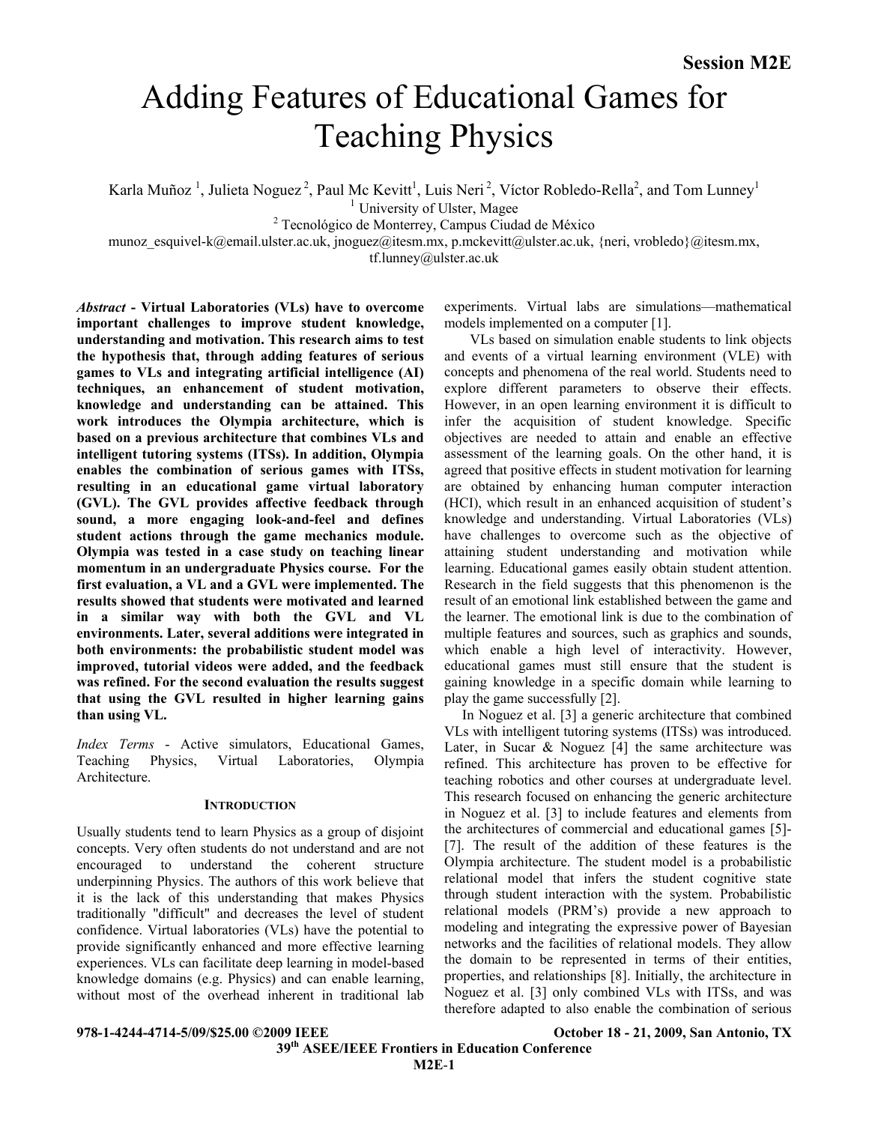# Adding Features of Educational Games for Teaching Physics

Karla Muñoz<sup>1</sup>, Julieta Noguez<sup>2</sup>, Paul Mc Kevitt<sup>1</sup>, Luis Neri<sup>2</sup>, Víctor Robledo-Rella<sup>2</sup>, and Tom Lunney<sup>1</sup><br><sup>1</sup> University of Ulster, Magee<br><sup>2</sup> Teamplésies de Manterey Cempus Gudad de Máxice

Tecnológico de Monterrey, Campus Ciudad de México

munoz\_esquivel-k@email.ulster.ac.uk, jnoguez@itesm.mx, p.mckevitt@ulster.ac.uk, {neri, vrobledo}@itesm.mx,

tf.lunney@ulster.ac.uk

*Abstract* **- Virtual Laboratories (VLs) have to overcome important challenges to improve student knowledge, understanding and motivation. This research aims to test the hypothesis that, through adding features of serious games to VLs and integrating artificial intelligence (AI) techniques, an enhancement of student motivation, knowledge and understanding can be attained. This work introduces the Olympia architecture, which is based on a previous architecture that combines VLs and intelligent tutoring systems (ITSs). In addition, Olympia enables the combination of serious games with ITSs, resulting in an educational game virtual laboratory (GVL). The GVL provides affective feedback through sound, a more engaging look-and-feel and defines student actions through the game mechanics module. Olympia was tested in a case study on teaching linear momentum in an undergraduate Physics course. For the first evaluation, a VL and a GVL were implemented. The results showed that students were motivated and learned in a similar way with both the GVL and VL environments. Later, several additions were integrated in both environments: the probabilistic student model was improved, tutorial videos were added, and the feedback was refined. For the second evaluation the results suggest that using the GVL resulted in higher learning gains than using VL.** 

*Index Terms* - Active simulators, Educational Games, Teaching Physics, Virtual Laboratories, Olympia **Architecture** 

### **INTRODUCTION**

Usually students tend to learn Physics as a group of disjoint concepts. Very often students do not understand and are not encouraged to understand the coherent structure underpinning Physics. The authors of this work believe that it is the lack of this understanding that makes Physics traditionally "difficult" and decreases the level of student confidence. Virtual laboratories (VLs) have the potential to provide significantly enhanced and more effective learning experiences. VLs can facilitate deep learning in model-based knowledge domains (e.g. Physics) and can enable learning, without most of the overhead inherent in traditional lab

experiments. Virtual labs are simulations—mathematical models implemented on a computer [1].

VLs based on simulation enable students to link objects and events of a virtual learning environment (VLE) with concepts and phenomena of the real world. Students need to explore different parameters to observe their effects. However, in an open learning environment it is difficult to infer the acquisition of student knowledge. Specific objectives are needed to attain and enable an effective assessment of the learning goals. On the other hand, it is agreed that positive effects in student motivation for learning are obtained by enhancing human computer interaction (HCI), which result in an enhanced acquisition of student's knowledge and understanding. Virtual Laboratories (VLs) have challenges to overcome such as the objective of attaining student understanding and motivation while learning. Educational games easily obtain student attention. Research in the field suggests that this phenomenon is the result of an emotional link established between the game and the learner. The emotional link is due to the combination of multiple features and sources, such as graphics and sounds, which enable a high level of interactivity. However, educational games must still ensure that the student is gaining knowledge in a specific domain while learning to play the game successfully [2].

 In Noguez et al. [3] a generic architecture that combined VLs with intelligent tutoring systems (ITSs) was introduced. Later, in Sucar & Noguez  $[4]$  the same architecture was refined. This architecture has proven to be effective for teaching robotics and other courses at undergraduate level. This research focused on enhancing the generic architecture in Noguez et al. [3] to include features and elements from the architectures of commercial and educational games [5]- [7]. The result of the addition of these features is the Olympia architecture. The student model is a probabilistic relational model that infers the student cognitive state through student interaction with the system. Probabilistic relational models (PRM's) provide a new approach to modeling and integrating the expressive power of Bayesian networks and the facilities of relational models. They allow the domain to be represented in terms of their entities, properties, and relationships [8]. Initially, the architecture in Noguez et al. [3] only combined VLs with ITSs, and was therefore adapted to also enable the combination of serious

# **978-1-4244-4714-5/09/\$25.00 ©2009 IEEE October 18 - 21, 2009, San Antonio, TX**

 **39th ASEE/IEEE Frontiers in Education Conference M2E**-**1**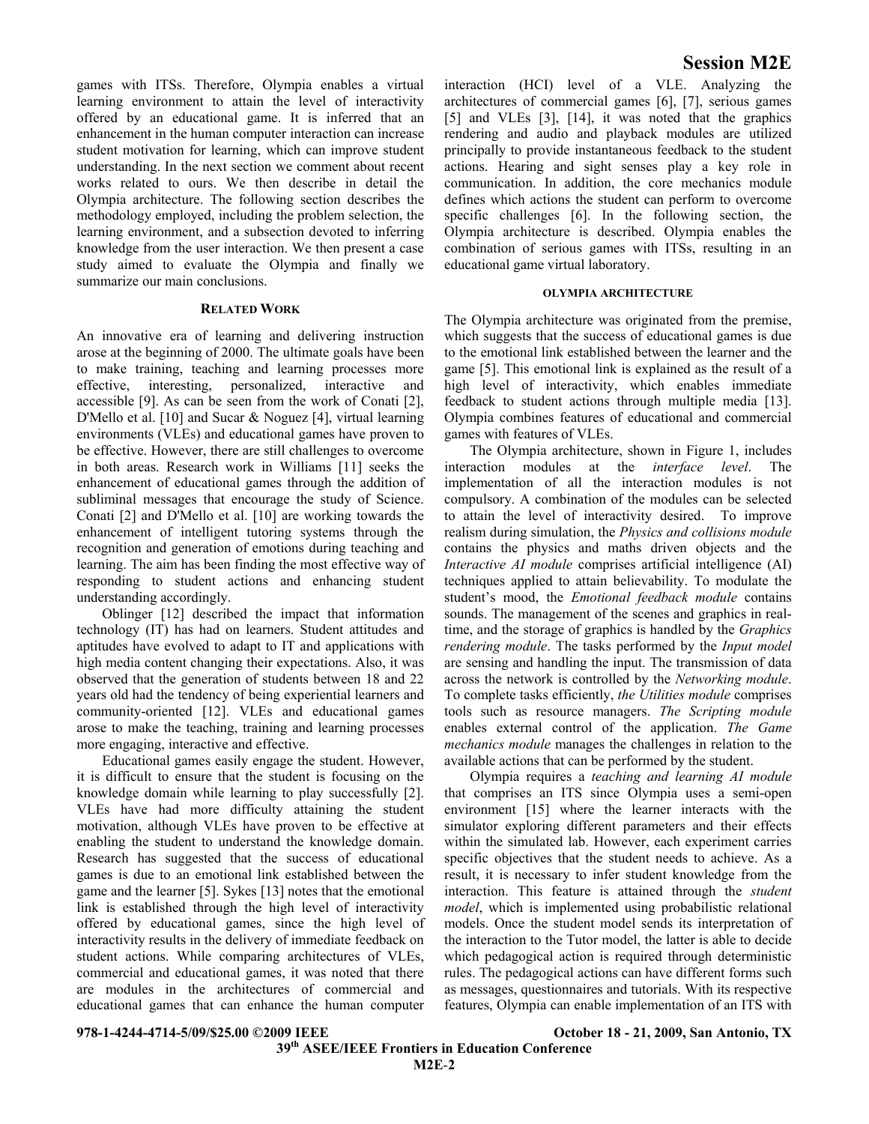games with ITSs. Therefore, Olympia enables a virtual learning environment to attain the level of interactivity offered by an educational game. It is inferred that an enhancement in the human computer interaction can increase student motivation for learning, which can improve student understanding. In the next section we comment about recent works related to ours. We then describe in detail the Olympia architecture. The following section describes the methodology employed, including the problem selection, the learning environment, and a subsection devoted to inferring knowledge from the user interaction. We then present a case study aimed to evaluate the Olympia and finally we summarize our main conclusions.

#### **RELATED WORK**

An innovative era of learning and delivering instruction arose at the beginning of 2000. The ultimate goals have been to make training, teaching and learning processes more effective, interesting, personalized, interactive and accessible [9]. As can be seen from the work of Conati [2], D'Mello et al. [10] and Sucar & Noguez [4], virtual learning environments (VLEs) and educational games have proven to be effective. However, there are still challenges to overcome in both areas. Research work in Williams [11] seeks the enhancement of educational games through the addition of subliminal messages that encourage the study of Science. Conati [2] and D'Mello et al. [10] are working towards the enhancement of intelligent tutoring systems through the recognition and generation of emotions during teaching and learning. The aim has been finding the most effective way of responding to student actions and enhancing student understanding accordingly.

Oblinger [12] described the impact that information technology (IT) has had on learners. Student attitudes and aptitudes have evolved to adapt to IT and applications with high media content changing their expectations. Also, it was observed that the generation of students between 18 and 22 years old had the tendency of being experiential learners and community-oriented [12]. VLEs and educational games arose to make the teaching, training and learning processes more engaging, interactive and effective.

Educational games easily engage the student. However, it is difficult to ensure that the student is focusing on the knowledge domain while learning to play successfully [2]. VLEs have had more difficulty attaining the student motivation, although VLEs have proven to be effective at enabling the student to understand the knowledge domain. Research has suggested that the success of educational games is due to an emotional link established between the game and the learner [5]. Sykes [13] notes that the emotional link is established through the high level of interactivity offered by educational games, since the high level of interactivity results in the delivery of immediate feedback on student actions. While comparing architectures of VLEs, commercial and educational games, it was noted that there are modules in the architectures of commercial and educational games that can enhance the human computer

interaction (HCI) level of a VLE. Analyzing the architectures of commercial games [6], [7], serious games [5] and VLEs [3], [14], it was noted that the graphics rendering and audio and playback modules are utilized principally to provide instantaneous feedback to the student actions. Hearing and sight senses play a key role in communication. In addition, the core mechanics module defines which actions the student can perform to overcome specific challenges [6]. In the following section, the Olympia architecture is described. Olympia enables the combination of serious games with ITSs, resulting in an educational game virtual laboratory.

#### **OLYMPIA ARCHITECTURE**

The Olympia architecture was originated from the premise, which suggests that the success of educational games is due to the emotional link established between the learner and the game [5]. This emotional link is explained as the result of a high level of interactivity, which enables immediate feedback to student actions through multiple media [13]. Olympia combines features of educational and commercial games with features of VLEs.

The Olympia architecture, shown in Figure 1, includes interaction modules at the *interface level*. The implementation of all the interaction modules is not compulsory. A combination of the modules can be selected to attain the level of interactivity desired. To improve realism during simulation, the *Physics and collisions module* contains the physics and maths driven objects and the *Interactive AI module* comprises artificial intelligence (AI) techniques applied to attain believability. To modulate the student's mood, the *Emotional feedback module* contains sounds. The management of the scenes and graphics in realtime, and the storage of graphics is handled by the *Graphics rendering module*. The tasks performed by the *Input model* are sensing and handling the input. The transmission of data across the network is controlled by the *Networking module*. To complete tasks efficiently, *the Utilities module* comprises tools such as resource managers. *The Scripting module* enables external control of the application. *The Game mechanics module* manages the challenges in relation to the available actions that can be performed by the student.

Olympia requires a *teaching and learning AI module* that comprises an ITS since Olympia uses a semi-open environment [15] where the learner interacts with the simulator exploring different parameters and their effects within the simulated lab. However, each experiment carries specific objectives that the student needs to achieve. As a result, it is necessary to infer student knowledge from the interaction. This feature is attained through the *student model*, which is implemented using probabilistic relational models. Once the student model sends its interpretation of the interaction to the Tutor model, the latter is able to decide which pedagogical action is required through deterministic rules. The pedagogical actions can have different forms such as messages, questionnaires and tutorials. With its respective features, Olympia can enable implementation of an ITS with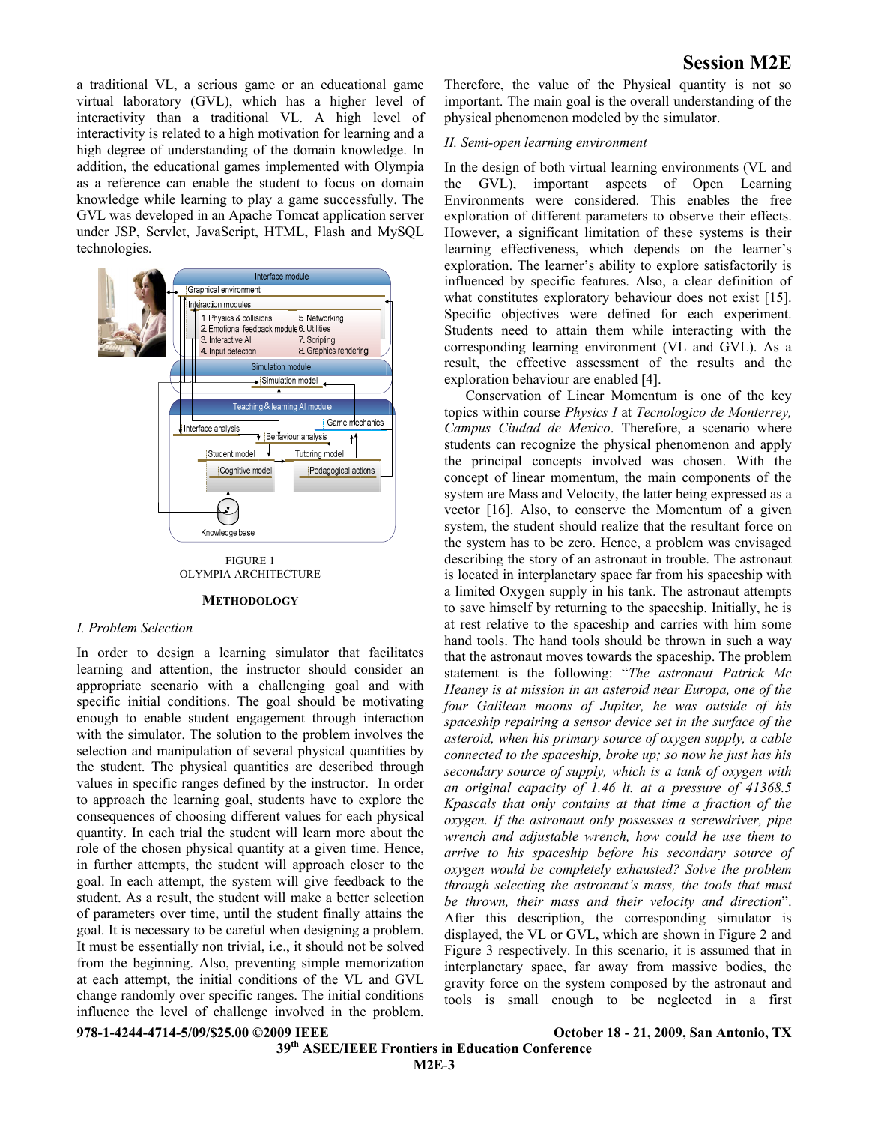a traditional VL, a serious game or an educational game virtual laboratory (GVL), which has a higher level of interactivity than a traditional VL. A high level of interactivity is related to a high motivation for learning and a high degree of understanding of the domain knowledge. In addition, the educational games implemented with Olympia as a reference can enable the student to focus on domain knowledge while learning to play a game successfully. The GVL was developed in an Apache Tomcat application server under JSP, Servlet, JavaScript, HTML, Flash and MySQL technologies.



FIGURE 1 OLYMPIA ARCHITECTURE

#### **METHODOLOGY**

#### *I. Problem Selection*

In order to design a learning simulator that facilitates learning and attention, the instructor should consider an appropriate scenario with a challenging goal and with specific initial conditions. The goal should be motivating enough to enable student engagement through interaction with the simulator. The solution to the problem involves the selection and manipulation of several physical quantities by the student. The physical quantities are described through values in specific ranges defined by the instructor. In order to approach the learning goal, students have to explore the consequences of choosing different values for each physical quantity. In each trial the student will learn more about the role of the chosen physical quantity at a given time. Hence, in further attempts, the student will approach closer to the goal. In each attempt, the system will give feedback to the student. As a result, the student will make a better selection of parameters over time, until the student finally attains the goal. It is necessary to be careful when designing a problem. It must be essentially non trivial, i.e., it should not be solved from the beginning. Also, preventing simple memorization at each attempt, the initial conditions of the VL and GVL change randomly over specific ranges. The initial conditions influence the level of challenge involved in the problem.

Therefore, the value of the Physical quantity is not so important. The main goal is the overall understanding of the physical phenomenon modeled by the simulator.

#### *II. Semi-open learning environment*

In the design of both virtual learning environments (VL and the GVL), important aspects of Open Learning Environments were considered. This enables the free exploration of different parameters to observe their effects. However, a significant limitation of these systems is their learning effectiveness, which depends on the learner's exploration. The learner's ability to explore satisfactorily is influenced by specific features. Also, a clear definition of what constitutes exploratory behaviour does not exist [15]. Specific objectives were defined for each experiment. Students need to attain them while interacting with the corresponding learning environment (VL and GVL). As a result, the effective assessment of the results and the exploration behaviour are enabled [4].

 Conservation of Linear Momentum is one of the key topics within course *Physics I* at *Tecnologico de Monterrey, Campus Ciudad de Mexico*. Therefore, a scenario where students can recognize the physical phenomenon and apply the principal concepts involved was chosen. With the concept of linear momentum, the main components of the system are Mass and Velocity, the latter being expressed as a vector [16]. Also, to conserve the Momentum of a given system, the student should realize that the resultant force on the system has to be zero. Hence, a problem was envisaged describing the story of an astronaut in trouble. The astronaut is located in interplanetary space far from his spaceship with a limited Oxygen supply in his tank. The astronaut attempts to save himself by returning to the spaceship. Initially, he is at rest relative to the spaceship and carries with him some hand tools. The hand tools should be thrown in such a way that the astronaut moves towards the spaceship. The problem statement is the following: "*The astronaut Patrick Mc Heaney is at mission in an asteroid near Europa, one of the four Galilean moons of Jupiter, he was outside of his spaceship repairing a sensor device set in the surface of the asteroid, when his primary source of oxygen supply, a cable connected to the spaceship, broke up; so now he just has his secondary source of supply, which is a tank of oxygen with an original capacity of 1.46 lt. at a pressure of 41368.5 Kpascals that only contains at that time a fraction of the oxygen. If the astronaut only possesses a screwdriver, pipe wrench and adjustable wrench, how could he use them to arrive to his spaceship before his secondary source of oxygen would be completely exhausted? Solve the problem through selecting the astronaut's mass, the tools that must be thrown, their mass and their velocity and direction*". After this description, the corresponding simulator is displayed, the VL or GVL, which are shown in Figure 2 and Figure 3 respectively. In this scenario, it is assumed that in interplanetary space, far away from massive bodies, the gravity force on the system composed by the astronaut and tools is small enough to be neglected in a first

**978-1-4244-4714-5/09/\$25.00 ©2009 IEEE October 18 - 21, 2009, San Antonio, TX** 

 **39th ASEE/IEEE Frontiers in Education Conference M2E**-**3**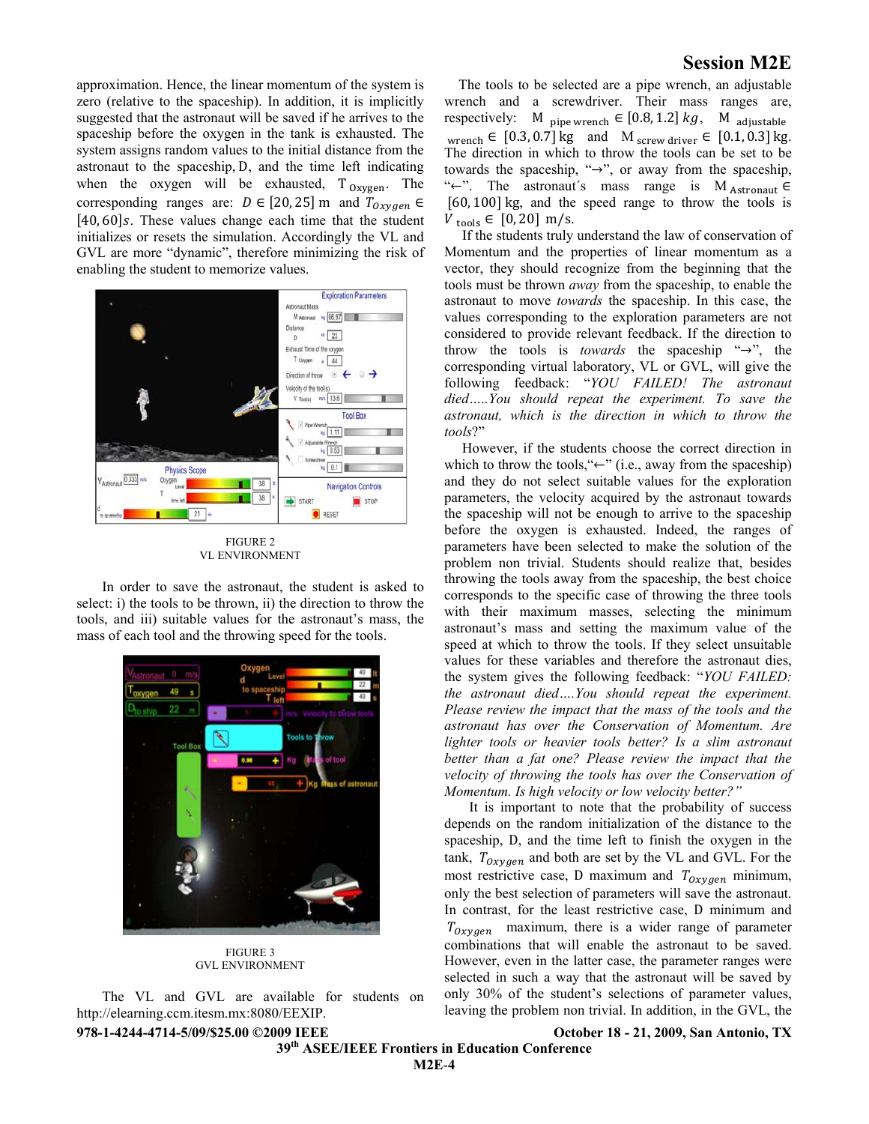approximation. Hence, the linear momentum of the system is zero (relative to the spaceship). In addition, it is implicitly suggested that the astronaut will be saved if he arrives to the spaceship before the oxygen in the tank is exhausted. The system assigns random values to the initial distance from the astronaut to the spaceship, D, and the time left indicating when the oxygen will be exhausted,  $T_{\text{Oxygen}}$ . The corresponding ranges are:  $D \in [20, 25]$  m and  $T_{oxygen} \in$  $[40, 60]$ s. These values change each time that the student initializes or resets the simulation. Accordingly the VL and GVL are more "dynamic", therefore minimizing the risk of enabling the student to memorize values.



FIGURE 2 VL ENVIRONMENT

In order to save the astronaut, the student is asked to select: i) the tools to be thrown, ii) the direction to throw the tools, and iii) suitable values for the astronaut's mass, the mass of each tool and the throwing speed for the tools.



FIGURE 3 GVL ENVIRONMENT

The VL and GVL are available for students on http://elearning.ccm.itesm.mx:8080/EEXIP.

# **Session M2E**

 The tools to be selected are a pipe wrench, an adjustable wrench and a screwdriver. Their mass ranges are, respectively: M  $_{\text{pipe} \text{wrench}} \in [0.8, 1.2]$   $kg$ , M  $_{\text{adjustable}}$ wrench  $\in$  [0.3, 0.7] kg and M <sub>screw driver</sub>  $\in$  [0.1, 0.3] kg. The direction in which to throw the tools can be set to be towards the spaceship, " $\rightarrow$ ", or away from the spaceship, " $\leftarrow$ ". The astronaut's mass range is M Astronaut  $\in$  $[60, 100]$  kg, and the speed range to throw the tools is  $V_{\text{tools}} \in [0, 20] \text{ m/s}.$ 

 If the students truly understand the law of conservation of Momentum and the properties of linear momentum as a vector, they should recognize from the beginning that the tools must be thrown *away* from the spaceship, to enable the astronaut to move *towards* the spaceship. In this case, the values corresponding to the exploration parameters are not considered to provide relevant feedback. If the direction to throw the tools is *towards* the spaceship " $\rightarrow$ ", the corresponding virtual laboratory, VL or GVL, will give the following feedback: "*YOU FAILED! The astronaut died…..You should repeat the experiment. To save the astronaut, which is the direction in which to throw the tools*?"

 However, if the students choose the correct direction in which to throw the tools, " $\leftarrow$ " (i.e., away from the spaceship) and they do not select suitable values for the exploration parameters, the velocity acquired by the astronaut towards the spaceship will not be enough to arrive to the spaceship before the oxygen is exhausted. Indeed, the ranges of parameters have been selected to make the solution of the problem non trivial. Students should realize that, besides throwing the tools away from the spaceship, the best choice corresponds to the specific case of throwing the three tools with their maximum masses, selecting the minimum astronaut's mass and setting the maximum value of the speed at which to throw the tools. If they select unsuitable values for these variables and therefore the astronaut dies, the system gives the following feedback: "*YOU FAILED: the astronaut died….You should repeat the experiment. Please review the impact that the mass of the tools and the astronaut has over the Conservation of Momentum. Are lighter tools or heavier tools better? Is a slim astronaut better than a fat one? Please review the impact that the velocity of throwing the tools has over the Conservation of Momentum. Is high velocity or low velocity better?"* 

 It is important to note that the probability of success depends on the random initialization of the distance to the spaceship, D, and the time left to finish the oxygen in the tank,  $T_{0xygen}$  and both are set by the VL and GVL. For the most restrictive case, D maximum and  $T_{Oxygen}$  minimum, only the best selection of parameters will save the astronaut. In contrast, for the least restrictive case, D minimum and  $T_{Oxvaen}$  maximum, there is a wider range of parameter combinations that will enable the astronaut to be saved. However, even in the latter case, the parameter ranges were selected in such a way that the astronaut will be saved by only 30% of the student's selections of parameter values, leaving the problem non trivial. In addition, in the GVL, the

 **39th ASEE/IEEE Frontiers in Education Conference** 

**978-1-4244-4714-5/09/\$25.00 ©2009 IEEE October 18 - 21, 2009, San Antonio, TX**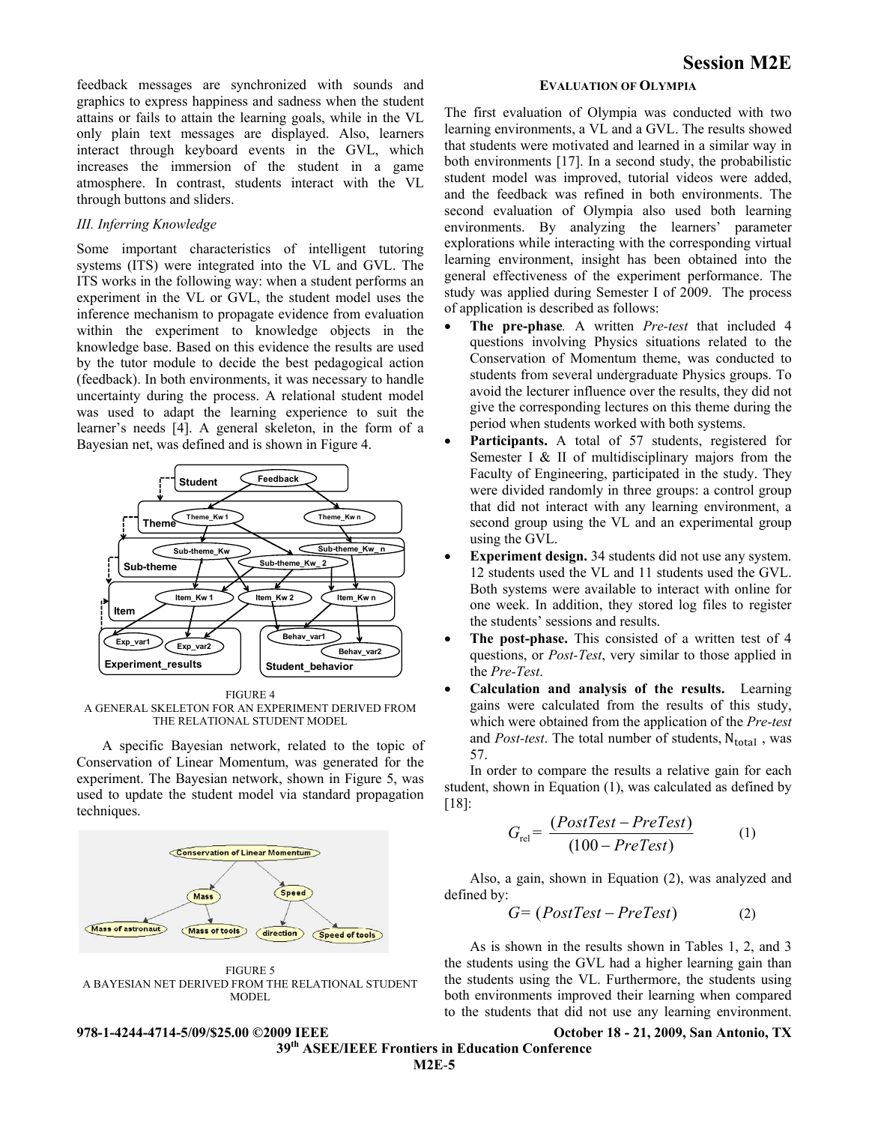feedback messages are synchronized with sounds and graphics to express happiness and sadness when the student attains or fails to attain the learning goals, while in the VL only plain text messages are displayed. Also, learners interact through keyboard events in the GVL, which increases the immersion of the student in a game atmosphere. In contrast, students interact with the VL through buttons and sliders.

### *III. Inferring Knowledge*

Some important characteristics of intelligent tutoring systems (ITS) were integrated into the VL and GVL. The ITS works in the following way: when a student performs an experiment in the VL or GVL, the student model uses the inference mechanism to propagate evidence from evaluation within the experiment to knowledge objects in the knowledge base. Based on this evidence the results are used by the tutor module to decide the best pedagogical action (feedback). In both environments, it was necessary to handle uncertainty during the process. A relational student model was used to adapt the learning experience to suit the learner's needs [4]. A general skeleton, in the form of a Bayesian net, was defined and is shown in Figure 4.



FIGURE 4 A GENERAL SKELETON FOR AN EXPERIMENT DERIVED FROM THE RELATIONAL STUDENT MODEL

A specific Bayesian network, related to the topic of Conservation of Linear Momentum, was generated for the experiment. The Bayesian network, shown in Figure 5, was used to update the student model via standard propagation techniques.

![](_page_4_Figure_6.jpeg)

FIGURE 5 A BAYESIAN NET DERIVED FROM THE RELATIONAL STUDENT MODEL

# **EVALUATION OF OLYMPIA**

The first evaluation of Olympia was conducted with two learning environments, a VL and a GVL. The results showed that students were motivated and learned in a similar way in both environments [17]. In a second study, the probabilistic student model was improved, tutorial videos were added, and the feedback was refined in both environments. The second evaluation of Olympia also used both learning environments. By analyzing the learners' parameter explorations while interacting with the corresponding virtual learning environment, insight has been obtained into the general effectiveness of the experiment performance. The study was applied during Semester I of 2009. The process of application is described as follows:

- **The pre-phase***.* A written *Pre-test* that included 4 questions involving Physics situations related to the Conservation of Momentum theme, was conducted to students from several undergraduate Physics groups. To avoid the lecturer influence over the results, they did not give the corresponding lectures on this theme during the period when students worked with both systems.
- **Participants.** A total of 57 students, registered for Semester I & II of multidisciplinary majors from the Faculty of Engineering, participated in the study. They were divided randomly in three groups: a control group that did not interact with any learning environment, a second group using the VL and an experimental group using the GVL.
- **Experiment design.** 34 students did not use any system. 12 students used the VL and 11 students used the GVL. Both systems were available to interact with online for one week. In addition, they stored log files to register the students' sessions and results.
- The post-phase. This consisted of a written test of 4 questions, or *Post-Test*, very similar to those applied in the *Pre-Test*.
- **Calculation and analysis of the results.** Learning gains were calculated from the results of this study, which were obtained from the application of the *Pre-test* and *Post-test*. The total number of students, N<sub>total</sub>, was 57.

In order to compare the results a relative gain for each student, shown in Equation (1), was calculated as defined by [18]:

$$
G_{\text{rel}} = \frac{(PostTest - PreTest)}{(100 - PreTest)}\tag{1}
$$

Also, a gain, shown in Equation (2), was analyzed and defined by:

$$
G = (PostTest - PreTest) \tag{2}
$$

As is shown in the results shown in Tables 1, 2, and 3 the students using the GVL had a higher learning gain than the students using the VL. Furthermore, the students using both environments improved their learning when compared to the students that did not use any learning environment.

**978-1-4244-4714-5/09/\$25.00 ©2009 IEEE October 18 - 21, 2009, San Antonio, TX 39th ASEE/IEEE Frontiers in Education Conference M2E**-**5**